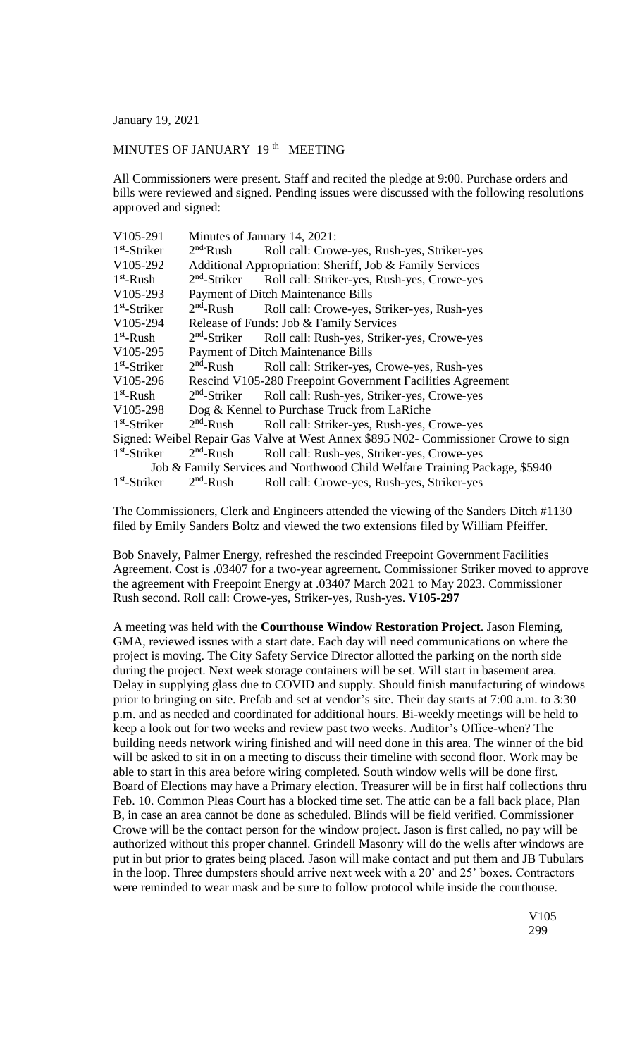January 19, 2021

## MINUTES OF JANUARY 19<sup>th</sup> MEETING

All Commissioners were present. Staff and recited the pledge at 9:00. Purchase orders and bills were reviewed and signed. Pending issues were discussed with the following resolutions approved and signed:

| V105-291                                                                            | Minutes of January 14, 2021:                               |                                                            |
|-------------------------------------------------------------------------------------|------------------------------------------------------------|------------------------------------------------------------|
| $1st$ -Striker                                                                      | $2nd$ -Rush                                                | Roll call: Crowe-yes, Rush-yes, Striker-yes                |
| V105-292                                                                            | Additional Appropriation: Sheriff, Job & Family Services   |                                                            |
| $1st$ -Rush                                                                         | $2nd$ -Striker                                             | Roll call: Striker-yes, Rush-yes, Crowe-yes                |
| V105-293                                                                            | <b>Payment of Ditch Maintenance Bills</b>                  |                                                            |
| $1st$ -Striker                                                                      | $2nd$ -Rush                                                | Roll call: Crowe-yes, Striker-yes, Rush-yes                |
| V105-294                                                                            | Release of Funds: Job & Family Services                    |                                                            |
| $1st$ -Rush                                                                         |                                                            | $2nd$ -Striker Roll call: Rush-yes, Striker-yes, Crowe-yes |
| V105-295                                                                            | <b>Payment of Ditch Maintenance Bills</b>                  |                                                            |
| $1st$ -Striker                                                                      | $2nd$ -Rush                                                | Roll call: Striker-yes, Crowe-yes, Rush-yes                |
| V105-296                                                                            | Rescind V105-280 Freepoint Government Facilities Agreement |                                                            |
| $1st$ -Rush                                                                         | $2nd$ -Striker                                             | Roll call: Rush-yes, Striker-yes, Crowe-yes                |
| V <sub>105</sub> -298                                                               | Dog & Kennel to Purchase Truck from LaRiche                |                                                            |
| $1st$ -Striker                                                                      | $2nd$ -Rush                                                | Roll call: Striker-yes, Rush-yes, Crowe-yes                |
| Signed: Weibel Repair Gas Valve at West Annex \$895 N02- Commissioner Crowe to sign |                                                            |                                                            |
| $1st$ -Striker                                                                      | $2nd$ -Rush                                                | Roll call: Rush-yes, Striker-yes, Crowe-yes                |
| Job & Family Services and Northwood Child Welfare Training Package, \$5940          |                                                            |                                                            |
| $1st$ -Striker                                                                      | $2nd$ -Rush                                                | Roll call: Crowe-yes, Rush-yes, Striker-yes                |

The Commissioners, Clerk and Engineers attended the viewing of the Sanders Ditch #1130 filed by Emily Sanders Boltz and viewed the two extensions filed by William Pfeiffer.

Bob Snavely, Palmer Energy, refreshed the rescinded Freepoint Government Facilities Agreement. Cost is .03407 for a two-year agreement. Commissioner Striker moved to approve the agreement with Freepoint Energy at .03407 March 2021 to May 2023. Commissioner Rush second. Roll call: Crowe-yes, Striker-yes, Rush-yes. **V105-297**

A meeting was held with the **Courthouse Window Restoration Project**. Jason Fleming, GMA, reviewed issues with a start date. Each day will need communications on where the project is moving. The City Safety Service Director allotted the parking on the north side during the project. Next week storage containers will be set. Will start in basement area. Delay in supplying glass due to COVID and supply. Should finish manufacturing of windows prior to bringing on site. Prefab and set at vendor's site. Their day starts at 7:00 a.m. to 3:30 p.m. and as needed and coordinated for additional hours. Bi-weekly meetings will be held to keep a look out for two weeks and review past two weeks. Auditor's Office-when? The building needs network wiring finished and will need done in this area. The winner of the bid will be asked to sit in on a meeting to discuss their timeline with second floor. Work may be able to start in this area before wiring completed. South window wells will be done first. Board of Elections may have a Primary election. Treasurer will be in first half collections thru Feb. 10. Common Pleas Court has a blocked time set. The attic can be a fall back place, Plan B, in case an area cannot be done as scheduled. Blinds will be field verified. Commissioner Crowe will be the contact person for the window project. Jason is first called, no pay will be authorized without this proper channel. Grindell Masonry will do the wells after windows are put in but prior to grates being placed. Jason will make contact and put them and JB Tubulars in the loop. Three dumpsters should arrive next week with a 20' and 25' boxes. Contractors were reminded to wear mask and be sure to follow protocol while inside the courthouse.